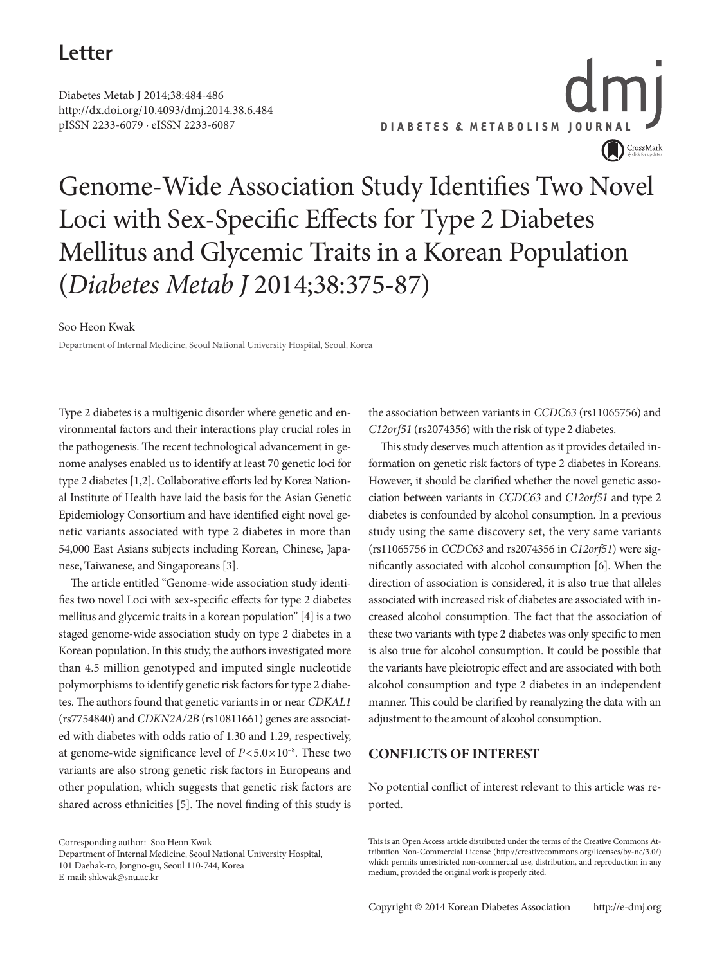### **Letter**

Diabetes Metab J 2014;38:484-486 http://dx.doi.org/10.4093/dmj.2014.38.6.484 pISSN 2233-6079 · eISSN 2233-6087

**DIABETES & METABOLISM JOURNAL** CrossMark  $\mathbf{U}$ 

## Genome-Wide Association Study Identifies Two Novel Loci with Sex-Specific Effects for Type 2 Diabetes Mellitus and Glycemic Traits in a Korean Population (*Diabetes Metab J* 2014;38:375-87)

Soo Heon Kwak

Department of Internal Medicine, Seoul National University Hospital, Seoul, Korea

Type 2 diabetes is a multigenic disorder where genetic and environmental factors and their interactions play crucial roles in the pathogenesis. The recent technological advancement in genome analyses enabled us to identify at least 70 genetic loci for type 2 diabetes [1,2]. Collaborative efforts led by Korea National Institute of Health have laid the basis for the Asian Genetic Epidemiology Consortium and have identified eight novel genetic variants associated with type 2 diabetes in more than 54,000 East Asians subjects including Korean, Chinese, Japanese, Taiwanese, and Singaporeans [3].

The article entitled "Genome-wide association study identifies two novel Loci with sex-specific effects for type 2 diabetes mellitus and glycemic traits in a korean population" [4] is a two staged genome-wide association study on type 2 diabetes in a Korean population. In this study, the authors investigated more than 4.5 million genotyped and imputed single nucleotide polymorphisms to identify genetic risk factors for type 2 diabetes. The authors found that genetic variants in or near *CDKAL1* (rs7754840) and *CDKN2A/2B* (rs10811661) genes are associated with diabetes with odds ratio of 1.30 and 1.29, respectively, at genome-wide significance level of  $P < 5.0 \times 10^{-8}$ . These two variants are also strong genetic risk factors in Europeans and other population, which suggests that genetic risk factors are shared across ethnicities [5]. The novel finding of this study is

the association between variants in *CCDC63* (rs11065756) and *C12orf51* (rs2074356) with the risk of type 2 diabetes.

This study deserves much attention as it provides detailed information on genetic risk factors of type 2 diabetes in Koreans. However, it should be clarified whether the novel genetic association between variants in *CCDC63* and *C12orf51* and type 2 diabetes is confounded by alcohol consumption. In a previous study using the same discovery set, the very same variants (rs11065756 in *CCDC63* and rs2074356 in *C12orf51*) were significantly associated with alcohol consumption [6]. When the direction of association is considered, it is also true that alleles associated with increased risk of diabetes are associated with increased alcohol consumption. The fact that the association of these two variants with type 2 diabetes was only specific to men is also true for alcohol consumption. It could be possible that the variants have pleiotropic effect and are associated with both alcohol consumption and type 2 diabetes in an independent manner. This could be clarified by reanalyzing the data with an adjustment to the amount of alcohol consumption.

#### **CONFLICTS OF INTEREST**

No potential conflict of interest relevant to this article was reported.

Corresponding author: Soo Heon Kwak Department of Internal Medicine, Seoul National University Hospital, 101 Daehak-ro, Jongno-gu, Seoul 110-744, Korea E-mail: shkwak@snu.ac.kr

This is an Open Access article distributed under the terms of the Creative Commons Attribution Non-Commercial License (http://creativecommons.org/licenses/by-nc/3.0/) which permits unrestricted non-commercial use, distribution, and reproduction in any medium, provided the original work is properly cited.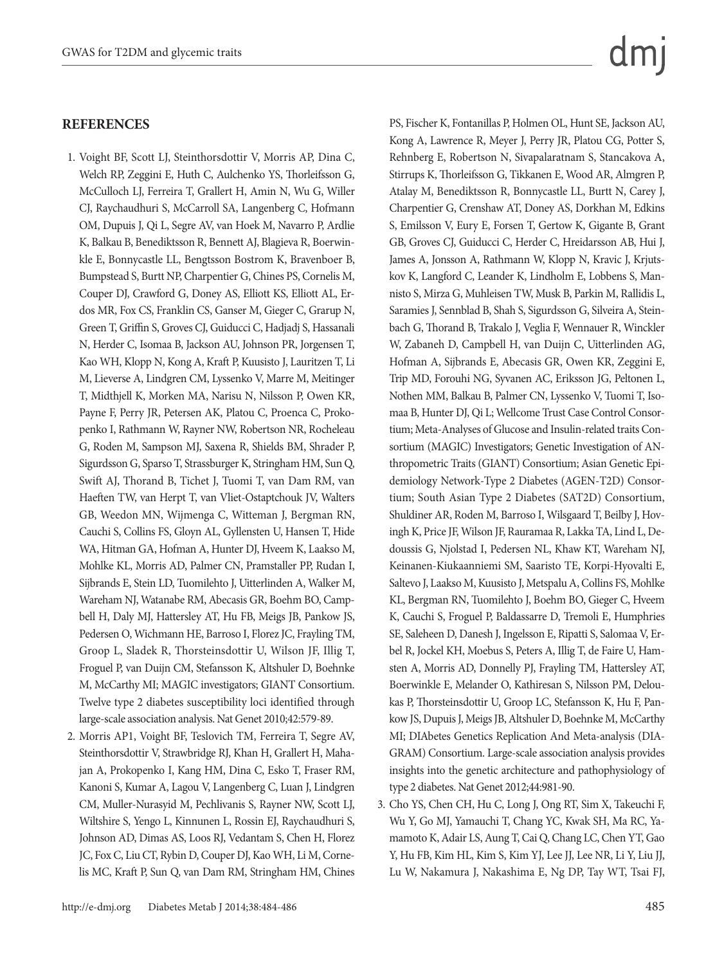#### **REFERENCES**

- 1. Voight BF, Scott LJ, Steinthorsdottir V, Morris AP, Dina C, Welch RP, Zeggini E, Huth C, Aulchenko YS, Thorleifsson G, McCulloch LJ, Ferreira T, Grallert H, Amin N, Wu G, Willer CJ, Raychaudhuri S, McCarroll SA, Langenberg C, Hofmann OM, Dupuis J, Qi L, Segre AV, van Hoek M, Navarro P, Ardlie K, Balkau B, Benediktsson R, Bennett AJ, Blagieva R, Boerwinkle E, Bonnycastle LL, Bengtsson Bostrom K, Bravenboer B, Bumpstead S, Burtt NP, Charpentier G, Chines PS, Cornelis M, Couper DJ, Crawford G, Doney AS, Elliott KS, Elliott AL, Erdos MR, Fox CS, Franklin CS, Ganser M, Gieger C, Grarup N, Green T, Griffin S, Groves CJ, Guiducci C, Hadjadj S, Hassanali N, Herder C, Isomaa B, Jackson AU, Johnson PR, Jorgensen T, Kao WH, Klopp N, Kong A, Kraft P, Kuusisto J, Lauritzen T, Li M, Lieverse A, Lindgren CM, Lyssenko V, Marre M, Meitinger T, Midthjell K, Morken MA, Narisu N, Nilsson P, Owen KR, Payne F, Perry JR, Petersen AK, Platou C, Proenca C, Prokopenko I, Rathmann W, Rayner NW, Robertson NR, Rocheleau G, Roden M, Sampson MJ, Saxena R, Shields BM, Shrader P, Sigurdsson G, Sparso T, Strassburger K, Stringham HM, Sun Q, Swift AJ, Thorand B, Tichet J, Tuomi T, van Dam RM, van Haeften TW, van Herpt T, van Vliet-Ostaptchouk JV, Walters GB, Weedon MN, Wijmenga C, Witteman J, Bergman RN, Cauchi S, Collins FS, Gloyn AL, Gyllensten U, Hansen T, Hide WA, Hitman GA, Hofman A, Hunter DJ, Hveem K, Laakso M, Mohlke KL, Morris AD, Palmer CN, Pramstaller PP, Rudan I, Sijbrands E, Stein LD, Tuomilehto J, Uitterlinden A, Walker M, Wareham NJ, Watanabe RM, Abecasis GR, Boehm BO, Campbell H, Daly MJ, Hattersley AT, Hu FB, Meigs JB, Pankow JS, Pedersen O, Wichmann HE, Barroso I, Florez JC, Frayling TM, Groop L, Sladek R, Thorsteinsdottir U, Wilson JF, Illig T, Froguel P, van Duijn CM, Stefansson K, Altshuler D, Boehnke M, McCarthy MI; MAGIC investigators; GIANT Consortium. Twelve type 2 diabetes susceptibility loci identified through large-scale association analysis. Nat Genet 2010;42:579-89.
- 2. Morris AP1, Voight BF, Teslovich TM, Ferreira T, Segre AV, Steinthorsdottir V, Strawbridge RJ, Khan H, Grallert H, Mahajan A, Prokopenko I, Kang HM, Dina C, Esko T, Fraser RM, Kanoni S, Kumar A, Lagou V, Langenberg C, Luan J, Lindgren CM, Muller-Nurasyid M, Pechlivanis S, Rayner NW, Scott LJ, Wiltshire S, Yengo L, Kinnunen L, Rossin EJ, Raychaudhuri S, Johnson AD, Dimas AS, Loos RJ, Vedantam S, Chen H, Florez JC, Fox C, Liu CT, Rybin D, Couper DJ, Kao WH, Li M, Cornelis MC, Kraft P, Sun Q, van Dam RM, Stringham HM, Chines

PS, Fischer K, Fontanillas P, Holmen OL, Hunt SE, Jackson AU, Kong A, Lawrence R, Meyer J, Perry JR, Platou CG, Potter S, Rehnberg E, Robertson N, Sivapalaratnam S, Stancakova A, Stirrups K, Thorleifsson G, Tikkanen E, Wood AR, Almgren P, Atalay M, Benediktsson R, Bonnycastle LL, Burtt N, Carey J, Charpentier G, Crenshaw AT, Doney AS, Dorkhan M, Edkins S, Emilsson V, Eury E, Forsen T, Gertow K, Gigante B, Grant GB, Groves CJ, Guiducci C, Herder C, Hreidarsson AB, Hui J, James A, Jonsson A, Rathmann W, Klopp N, Kravic J, Krjutskov K, Langford C, Leander K, Lindholm E, Lobbens S, Mannisto S, Mirza G, Muhleisen TW, Musk B, Parkin M, Rallidis L, Saramies J, Sennblad B, Shah S, Sigurdsson G, Silveira A, Steinbach G, Thorand B, Trakalo J, Veglia F, Wennauer R, Winckler W, Zabaneh D, Campbell H, van Duijn C, Uitterlinden AG, Hofman A, Sijbrands E, Abecasis GR, Owen KR, Zeggini E, Trip MD, Forouhi NG, Syvanen AC, Eriksson JG, Peltonen L, Nothen MM, Balkau B, Palmer CN, Lyssenko V, Tuomi T, Isomaa B, Hunter DJ, Qi L; Wellcome Trust Case Control Consortium; Meta-Analyses of Glucose and Insulin-related traits Consortium (MAGIC) Investigators; Genetic Investigation of ANthropometric Traits (GIANT) Consortium; Asian Genetic Epidemiology Network-Type 2 Diabetes (AGEN-T2D) Consortium; South Asian Type 2 Diabetes (SAT2D) Consortium, Shuldiner AR, Roden M, Barroso I, Wilsgaard T, Beilby J, Hovingh K, Price JF, Wilson JF, Rauramaa R, Lakka TA, Lind L, Dedoussis G, Njolstad I, Pedersen NL, Khaw KT, Wareham NJ, Keinanen-Kiukaanniemi SM, Saaristo TE, Korpi-Hyovalti E, Saltevo J, Laakso M, Kuusisto J, Metspalu A, Collins FS, Mohlke KL, Bergman RN, Tuomilehto J, Boehm BO, Gieger C, Hveem K, Cauchi S, Froguel P, Baldassarre D, Tremoli E, Humphries SE, Saleheen D, Danesh J, Ingelsson E, Ripatti S, Salomaa V, Erbel R, Jockel KH, Moebus S, Peters A, Illig T, de Faire U, Hamsten A, Morris AD, Donnelly PJ, Frayling TM, Hattersley AT, Boerwinkle E, Melander O, Kathiresan S, Nilsson PM, Deloukas P, Thorsteinsdottir U, Groop LC, Stefansson K, Hu F, Pankow JS, Dupuis J, Meigs JB, Altshuler D, Boehnke M, McCarthy MI; DIAbetes Genetics Replication And Meta-analysis (DIA-GRAM) Consortium. Large-scale association analysis provides insights into the genetic architecture and pathophysiology of type 2 diabetes. Nat Genet 2012;44:981-90.

3. Cho YS, Chen CH, Hu C, Long J, Ong RT, Sim X, Takeuchi F, Wu Y, Go MJ, Yamauchi T, Chang YC, Kwak SH, Ma RC, Yamamoto K, Adair LS, Aung T, Cai Q, Chang LC, Chen YT, Gao Y, Hu FB, Kim HL, Kim S, Kim YJ, Lee JJ, Lee NR, Li Y, Liu JJ, Lu W, Nakamura J, Nakashima E, Ng DP, Tay WT, Tsai FJ,